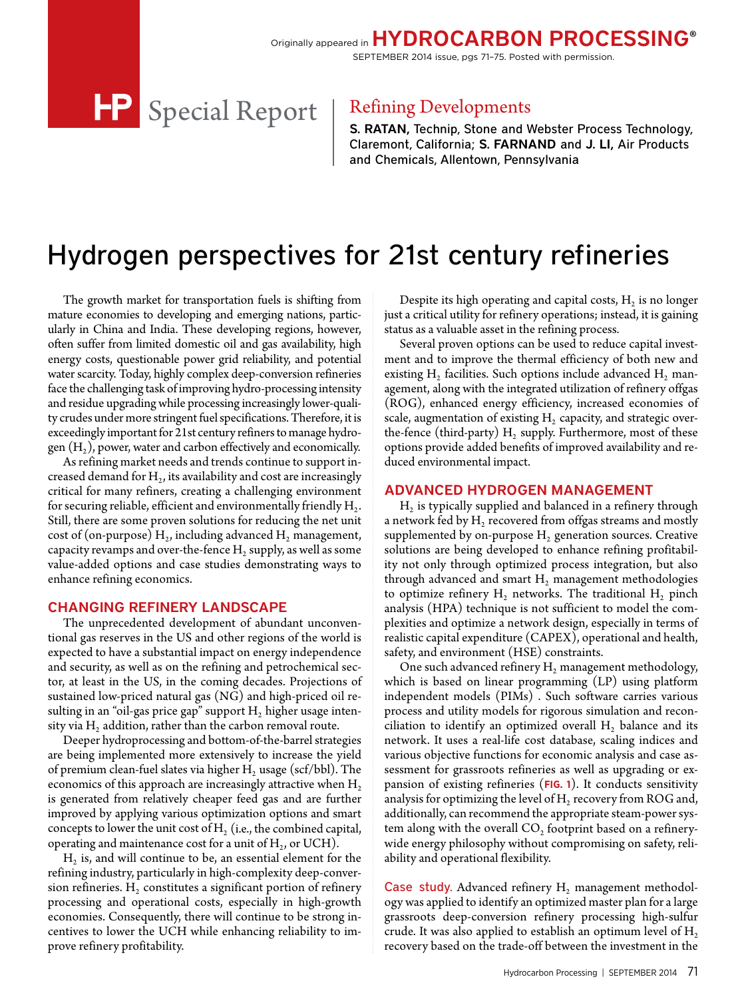Originally appeared in HYDROCARBON PROCESSING® SEPTEMBER 2014 issue, pgs 71–75. Posted with permission.

> S. RATAN, Technip, Stone and Webster Process Technology, Claremont, California; S. FARNAND and J. LI, Air Products and Chemicals, Allentown, Pennsylvania

# Hydrogen perspectives for 21st century refineries

The growth market for transportation fuels is shifting from mature economies to developing and emerging nations, particularly in China and India. These developing regions, however, often suffer from limited domestic oil and gas availability, high energy costs, questionable power grid reliability, and potential water scarcity. Today, highly complex deep-conversion refineries face the challenging task of improving hydro-processing intensity and residue upgrading while processing increasingly lower-quality crudes under more stringent fuel specifications. Therefore, it is exceedingly important for 21st century refiners to manage hydrogen  $(H_2)$ , power, water and carbon effectively and economically.

As refining market needs and trends continue to support increased demand for  $H<sub>2</sub>$ , its availability and cost are increasingly critical for many refiners, creating a challenging environment for securing reliable, efficient and environmentally friendly  $H_2$ . Still, there are some proven solutions for reducing the net unit cost of (on-purpose)  $H_2$ , including advanced  $H_2$  management, capacity revamps and over-the-fence  $H_2$  supply, as well as some value-added options and case studies demonstrating ways to enhance refining economics.

### CHANGING REFINERY LANDSCAPE

The unprecedented development of abundant unconventional gas reserves in the US and other regions of the world is expected to have a substantial impact on energy independence and security, as well as on the refining and petrochemical sector, at least in the US, in the coming decades. Projections of sustained low-priced natural gas (NG) and high-priced oil resulting in an "oil-gas price gap" support  $H_2$  higher usage intensity via  $H<sub>2</sub>$  addition, rather than the carbon removal route.

Deeper hydroprocessing and bottom-of-the-barrel strategies are being implemented more extensively to increase the yield of premium clean-fuel slates via higher  $H_2$  usage (scf/bbl). The economics of this approach are increasingly attractive when  $H_2$ is generated from relatively cheaper feed gas and are further improved by applying various optimization options and smart concepts to lower the unit cost of  $H<sub>2</sub>$  (i.e., the combined capital, operating and maintenance cost for a unit of  $H_2$ , or UCH).

 $H<sub>2</sub>$  is, and will continue to be, an essential element for the refining industry, particularly in high-complexity deep-conversion refineries.  $H_2$  constitutes a significant portion of refinery processing and operational costs, especially in high-growth economies. Consequently, there will continue to be strong incentives to lower the UCH while enhancing reliability to improve refinery profitability.

Despite its high operating and capital costs,  $H_2$  is no longer just a critical utility for refinery operations; instead, it is gaining status as a valuable asset in the refining process.

Several proven options can be used to reduce capital investment and to improve the thermal efficiency of both new and existing  $H_2$  facilities. Such options include advanced  $H_2$  management, along with the integrated utilization of refinery offgas (ROG), enhanced energy efficiency, increased economies of scale, augmentation of existing  $H<sub>2</sub>$  capacity, and strategic overthe-fence (third-party)  $H_2$  supply. Furthermore, most of these options provide added benefits of improved availability and reduced environmental impact.

### ADVANCED HYDROGEN MANAGEMENT

 $H<sub>2</sub>$  is typically supplied and balanced in a refinery through a network fed by  $H_2$  recovered from offgas streams and mostly supplemented by on-purpose  $H<sub>2</sub>$  generation sources. Creative solutions are being developed to enhance refining profitability not only through optimized process integration, but also through advanced and smart  $H_2$  management methodologies to optimize refinery  $H_2$  networks. The traditional  $H_2$  pinch analysis (HPA) technique is not sufficient to model the complexities and optimize a network design, especially in terms of realistic capital expenditure (CAPEX), operational and health, safety, and environment (HSE) constraints.

One such advanced refinery  $H_2$  management methodology, which is based on linear programming (LP) using platform independent models (PIMs) . Such software carries various process and utility models for rigorous simulation and reconciliation to identify an optimized overall  $H<sub>2</sub>$  balance and its network. It uses a real-life cost database, scaling indices and various objective functions for economic analysis and case assessment for grassroots refineries as well as upgrading or expansion of existing refineries (**FIG. 1**). It conducts sensitivity analysis for optimizing the level of  $H_2$  recovery from ROG and, additionally, can recommend the appropriate steam-power system along with the overall  $CO<sub>2</sub>$  footprint based on a refinerywide energy philosophy without compromising on safety, reliability and operational flexibility.

Case study. Advanced refinery  $H_2$  management methodology was applied to identify an optimized master plan for a large grassroots deep-conversion refinery processing high-sulfur crude. It was also applied to establish an optimum level of  $H_2$ recovery based on the trade-off between the investment in the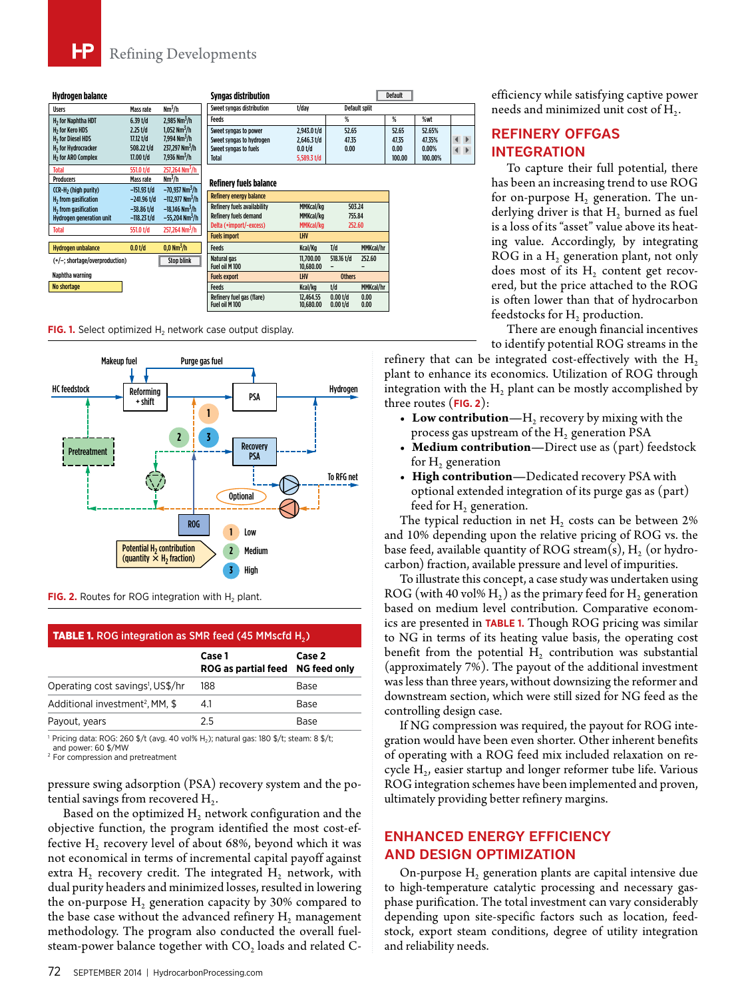# Refining Developments

| Hvdrogen balance                 |               |                               | Svnaas distribution                         |                        |                          |                      | <b>Default</b> |         |              |
|----------------------------------|---------------|-------------------------------|---------------------------------------------|------------------------|--------------------------|----------------------|----------------|---------|--------------|
| <b>Users</b>                     | Mass rate     | $Nm^3/h$                      | Sweet syngas distribution                   | t/day                  |                          | <b>Default split</b> |                |         |              |
| H <sub>2</sub> for Naphtha HDT   | $6.39$ t/d    | 2.985 Nm <sup>3</sup> /h      | <b>Feeds</b>                                |                        | %                        |                      | %              | %wt     |              |
| H <sub>2</sub> for Kero HDS      | $2.25$ t/d    | 1.052 Nm <sup>3</sup> /h      | Sweet syngas to power                       | 2,943.0 t/d            | 52.65                    |                      | 52.65          | 52.65%  |              |
| H <sub>2</sub> for Diesel HDS    | 17.12 t/d     | 7,994 Nm <sup>3</sup> /h      | Sweet syngas to hydrogen                    | $2.646.3$ t/d          | 47.35                    |                      | 47.35          | 47.35%  | $\leftarrow$ |
| H <sub>2</sub> for Hydrocracker  | 508.22 t/d    | 237,297 Nm <sup>3</sup> /h    | Sweet syngas to fuels                       | 0.0 t/d                | 0.00                     |                      | 0.00           | 0.00%   | $\leftarrow$ |
| H <sub>2</sub> for ARO Complex   | 17.00 t/d     | 7.936 Nm <sup>3</sup> /h      | Total                                       | 5,589.3 $t/d$          |                          |                      | 100.00         | 100.00% |              |
| <b>Total</b>                     | 551.0 t/d     | 257.264 Nm <sup>3</sup> /h    |                                             |                        |                          |                      |                |         |              |
| <b>Producers</b>                 | Mass rate     | $Nm^3/h$                      | <b>Refinery fuels balance</b>               |                        |                          |                      |                |         |              |
| CCR-H <sub>2</sub> (high purity) | $-151.93$ t/d | $-70,937$ Nm <sup>3</sup> /h  |                                             |                        |                          |                      |                |         |              |
| H <sub>2</sub> from gasification | $-241.96$ t/d | $-112,977$ Nm <sup>3</sup> /h | <b>Refinery energy balance</b>              |                        |                          |                      |                |         |              |
| H <sub>2</sub> from gasification | $-38.86$ t/d  | $-18,146$ Nm <sup>3</sup> /h  | <b>Refinery fuels availability</b>          | MMKcal/kg              | 503.24                   |                      |                |         |              |
| <b>Hydrogen generation unit</b>  | $-118.23$ t/d | $-55,204$ Nm <sup>3</sup> /h  | <b>Refinery fuels demand</b>                | MMKcal/kg              | 755.84                   |                      |                |         |              |
| <b>Total</b>                     | 551.0 t/d     | 257.264 Nm <sup>3</sup> /h    | Delta (+import/-excess)                     | MMKcal/kg              | 252.60                   |                      |                |         |              |
|                                  |               |                               | <b>Fuels import</b>                         | <b>LHV</b>             |                          |                      |                |         |              |
| <b>Hydrogen unbalance</b>        | 0.0 t/d       | $0.0\ {\rm Nm}^3/h$           | <b>Feeds</b>                                | Kcal/Kg                | I/d                      | MMKcal/hr            |                |         |              |
| (+/-: shortage/overproduction)   |               | <b>Stop blink</b>             | Natural gas                                 | 11.700.00              | 518.16 t/d               | 252.60               |                |         |              |
|                                  |               |                               | Fuel oil M 100                              | 10.680.00              |                          |                      |                |         |              |
| Naphtha warning                  |               |                               | <b>Fuels export</b>                         | LHV                    | <b>Others</b>            |                      |                |         |              |
| No shortage                      |               |                               | <b>Feeds</b>                                | Kcal/kg                | t/d                      | MMKcal/hr            |                |         |              |
|                                  |               |                               | Refinery fuel gas (flare)<br>Fuel oil M 100 | 12.464.55<br>10.680.00 | $0.00$ t/d<br>$0.00$ t/d | 0.00<br>0.00         |                |         |              |

**FIG. 1.** Select optimized H<sub>2</sub> network case output display.



**FIG. 2.** Routes for ROG integration with  $H_2$  plant.

#### **TABLE 1.** ROG integration as SMR feed  $(45$  MMscfd H<sub>2</sub>)

|                                               | Case 1<br>ROG as partial feed NG feed only | Case 2 |
|-----------------------------------------------|--------------------------------------------|--------|
| Operating cost savings <sup>1</sup> , US\$/hr | 188                                        | Base   |
| Additional investment <sup>2</sup> , MM, \$   | 4.1                                        | Base   |
| Payout, years                                 | 25                                         | Base   |

1 Pricing data: ROG: 260 \$/t (avg. 40 vol% H2); natural gas: 180 \$/t; steam: 8 \$/t; and power: 60 \$/MW

2 For compression and pretreatment

pressure swing adsorption (PSA) recovery system and the potential savings from recovered  $H_2$ .

Based on the optimized  $H_2$  network configuration and the objective function, the program identified the most cost-effective  $H_2$  recovery level of about 68%, beyond which it was not economical in terms of incremental capital payoff against extra  $H_2$  recovery credit. The integrated  $H_2$  network, with dual purity headers and minimized losses, resulted in lowering the on-purpose  $H_2$  generation capacity by 30% compared to the base case without the advanced refinery  $H_2$  management methodology. The program also conducted the overall fuelsteam-power balance together with  $CO<sub>2</sub>$  loads and related C-

efficiency while satisfying captive power needs and minimized unit cost of H<sub>2</sub>.

# REFINERY OFFGAS INTEGRATION

To capture their full potential, there has been an increasing trend to use ROG for on-purpose  $H_2$  generation. The underlying driver is that  $H<sub>2</sub>$  burned as fuel is a loss of its "asset" value above its heating value. Accordingly, by integrating ROG in a  $H_2$  generation plant, not only does most of its  $H<sub>2</sub>$  content get recovered, but the price attached to the ROG is often lower than that of hydrocarbon feedstocks for  $H_2$  production.

There are enough financial incentives to identify potential ROG streams in the

refinery that can be integrated cost-effectively with the  $H_2$ plant to enhance its economics. Utilization of ROG through integration with the  $H<sub>2</sub>$  plant can be mostly accomplished by three routes (**FIG. 2**):

- Low contribution—H<sub>2</sub> recovery by mixing with the process gas upstream of the  $H<sub>2</sub>$  generation PSA
- **• Medium contribution—**Direct use as (part) feedstock for  $H<sub>2</sub>$  generation
- **• High contribution—**Dedicated recovery PSA with optional extended integration of its purge gas as (part) feed for  $H_2$  generation.

The typical reduction in net  $H<sub>2</sub>$  costs can be between 2% and 10% depending upon the relative pricing of ROG vs. the base feed, available quantity of ROG stream(s),  $H<sub>2</sub>$  (or hydrocarbon) fraction, available pressure and level of impurities.

To illustrate this concept, a case study was undertaken using ROG (with 40 vol%  $H_2$ ) as the primary feed for  $H_2$  generation based on medium level contribution. Comparative economics are presented in **TABLE 1.** Though ROG pricing was similar to NG in terms of its heating value basis, the operating cost benefit from the potential  $H<sub>2</sub>$  contribution was substantial (approximately 7%). The payout of the additional investment was less than three years, without downsizing the reformer and downstream section, which were still sized for NG feed as the controlling design case.

If NG compression was required, the payout for ROG integration would have been even shorter. Other inherent benefits of operating with a ROG feed mix included relaxation on recycle  $H<sub>2</sub>$ , easier startup and longer reformer tube life. Various ROG integration schemes have been implemented and proven, ultimately providing better refinery margins.

# ENHANCED ENERGY EFFICIENCY AND DESIGN OPTIMIZATION

On-purpose  $H_2$  generation plants are capital intensive due to high-temperature catalytic processing and necessary gasphase purification. The total investment can vary considerably depending upon site-specific factors such as location, feedstock, export steam conditions, degree of utility integration and reliability needs.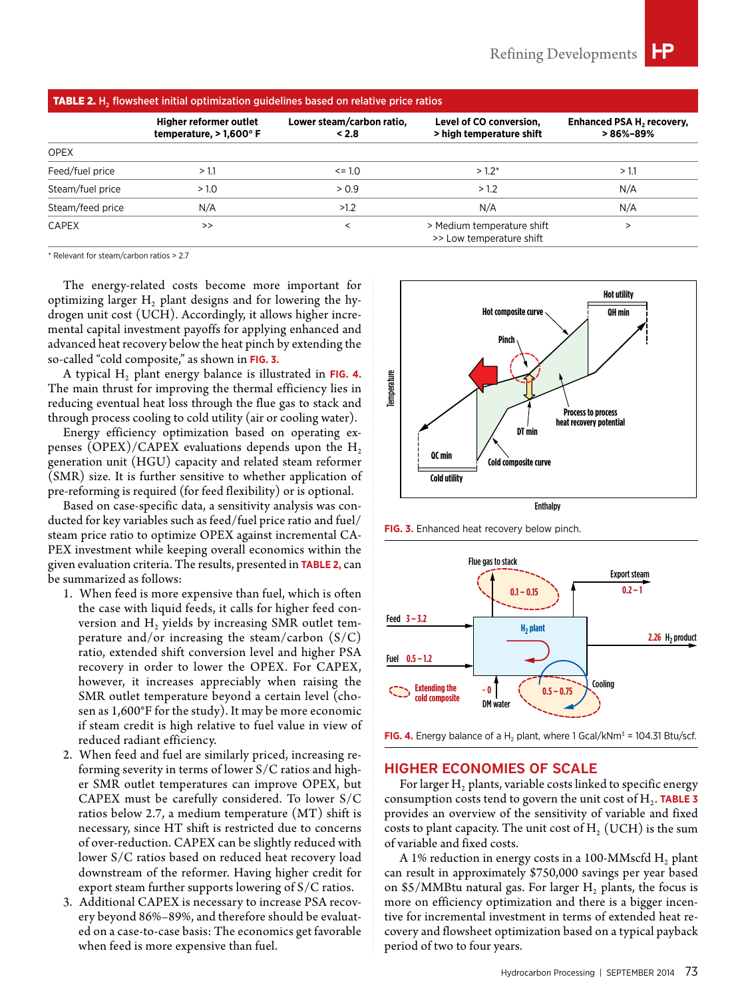| <b>TABLE 2.</b> $H_2$ flowsheet initial optimization guidelines based on relative price ratios |                                                            |                                    |                                                        |                                               |  |
|------------------------------------------------------------------------------------------------|------------------------------------------------------------|------------------------------------|--------------------------------------------------------|-----------------------------------------------|--|
|                                                                                                | <b>Higher reformer outlet</b><br>temperature, $> 1,600$ °F | Lower steam/carbon ratio,<br>< 2.8 | Level of CO conversion,<br>> high temperature shift    | <b>Enhanced PSA H, recovery,</b><br>> 86%–89% |  |
| <b>OPEX</b>                                                                                    |                                                            |                                    |                                                        |                                               |  |
| Feed/fuel price                                                                                | >1.1                                                       | $\leq$ = 1.0                       | $>1.2*$                                                | >1.1                                          |  |
| Steam/fuel price                                                                               | > 1.0                                                      | > 0.9                              | >1.2                                                   | N/A                                           |  |
| Steam/feed price                                                                               | N/A                                                        | >1.2                               | N/A                                                    | N/A                                           |  |
| <b>CAPEX</b>                                                                                   | >>                                                         | <                                  | > Medium temperature shift<br>>> Low temperature shift |                                               |  |

\* Relevant for steam/carbon ratios > 2.7

The energy-related costs become more important for optimizing larger  $H_2$  plant designs and for lowering the hydrogen unit cost (UCH). Accordingly, it allows higher incremental capital investment payoffs for applying enhanced and advanced heat recovery below the heat pinch by extending the so-called "cold composite," as shown in **FIG. 3.**

A typical H<sub>2</sub> plant energy balance is illustrated in FIG. 4. The main thrust for improving the thermal efficiency lies in reducing eventual heat loss through the flue gas to stack and through process cooling to cold utility (air or cooling water).

Energy efficiency optimization based on operating expenses (OPEX)/CAPEX evaluations depends upon the  $H_2$ generation unit (HGU) capacity and related steam reformer (SMR) size. It is further sensitive to whether application of pre-reforming is required (for feed flexibility) or is optional.

Based on case-specific data, a sensitivity analysis was conducted for key variables such as feed/fuel price ratio and fuel/ steam price ratio to optimize OPEX against incremental CA-PEX investment while keeping overall economics within the given evaluation criteria. The results, presented in **TABLE 2,** can be summarized as follows:

- 1. When feed is more expensive than fuel, which is often the case with liquid feeds, it calls for higher feed conversion and  $H_2$  yields by increasing SMR outlet temperature and/or increasing the steam/carbon (S/C) ratio, extended shift conversion level and higher PSA recovery in order to lower the OPEX. For CAPEX, however, it increases appreciably when raising the SMR outlet temperature beyond a certain level (chosen as 1,600°F for the study). It may be more economic if steam credit is high relative to fuel value in view of reduced radiant efficiency.
- 2. When feed and fuel are similarly priced, increasing reforming severity in terms of lower S/C ratios and higher SMR outlet temperatures can improve OPEX, but CAPEX must be carefully considered. To lower S/C ratios below 2.7, a medium temperature (MT) shift is necessary, since HT shift is restricted due to concerns of over-reduction. CAPEX can be slightly reduced with lower S/C ratios based on reduced heat recovery load downstream of the reformer. Having higher credit for export steam further supports lowering of S/C ratios.
- 3. Additional CAPEX is necessary to increase PSA recovery beyond 86%–89%, and therefore should be evaluated on a case-to-case basis: The economics get favorable when feed is more expensive than fuel.



**FIG. 3.** Enhanced heat recovery below pinch.



**FIG. 4.** Energy balance of a H<sub>2</sub> plant, where 1 Gcal/kNm<sup>3</sup> = 104.31 Btu/scf.

#### HIGHER ECONOMIES OF SCALE

For larger  $H<sub>2</sub>$  plants, variable costs linked to specific energy consumption costs tend to govern the unit cost of  $H_2$ . **TABLE 3** provides an overview of the sensitivity of variable and fixed costs to plant capacity. The unit cost of  $H<sub>2</sub>$  (UCH) is the sum of variable and fixed costs.

A 1% reduction in energy costs in a 100-MMscfd  $H_2$  plant can result in approximately \$750,000 savings per year based on \$5/MMBtu natural gas. For larger  $H_2$  plants, the focus is more on efficiency optimization and there is a bigger incentive for incremental investment in terms of extended heat recovery and flowsheet optimization based on a typical payback period of two to four years.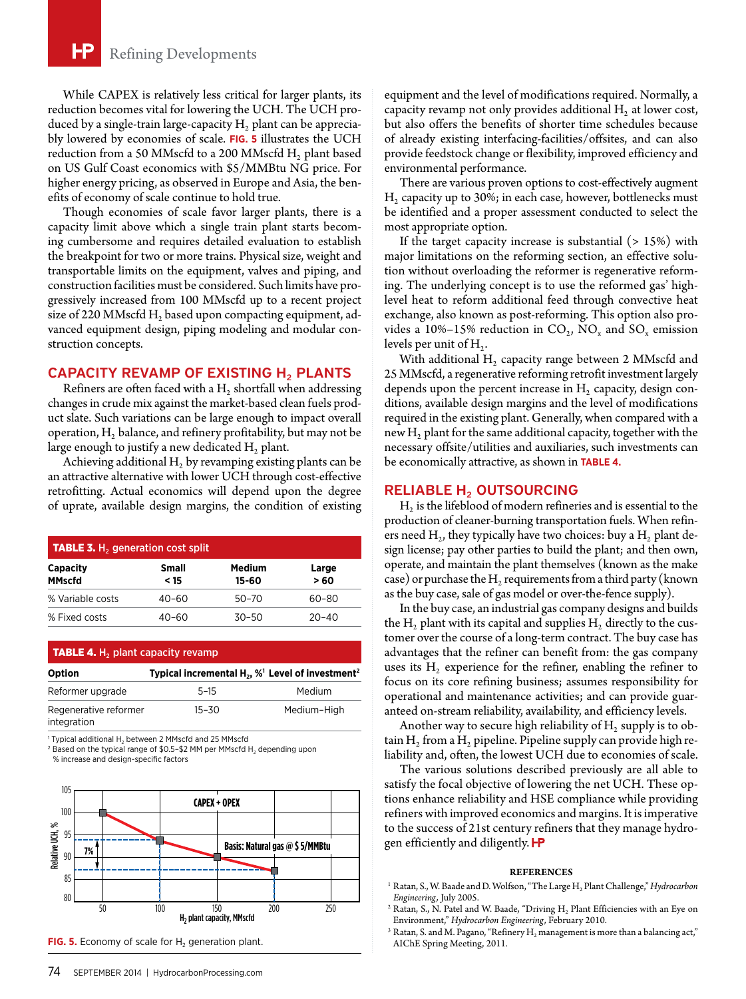While CAPEX is relatively less critical for larger plants, its reduction becomes vital for lowering the UCH. The UCH produced by a single-train large-capacity  $H<sub>2</sub>$  plant can be appreciably lowered by economies of scale. **FIG. 5** illustrates the UCH reduction from a 50 MMscfd to a 200 MMscfd  $H_2$  plant based on US Gulf Coast economics with \$5/MMBtu NG price. For higher energy pricing, as observed in Europe and Asia, the benefits of economy of scale continue to hold true.

Though economies of scale favor larger plants, there is a capacity limit above which a single train plant starts becoming cumbersome and requires detailed evaluation to establish the breakpoint for two or more trains. Physical size, weight and transportable limits on the equipment, valves and piping, and construction facilities must be considered. Such limits have progressively increased from 100 MMscfd up to a recent project size of 220 MMscfd  $H_2$  based upon compacting equipment, advanced equipment design, piping modeling and modular construction concepts.

# CAPACITY REVAMP OF EXISTING  $H_2$  PLANTS

Refiners are often faced with a  $H<sub>2</sub>$  shortfall when addressing changes in crude mix against the market-based clean fuels product slate. Such variations can be large enough to impact overall operation,  $H_2$  balance, and refinery profitability, but may not be large enough to justify a new dedicated  $H_2$  plant.

Achieving additional  $H<sub>2</sub>$  by revamping existing plants can be an attractive alternative with lower UCH through cost-effective retrofitting. Actual economics will depend upon the degree of uprate, available design margins, the condition of existing

| <b>TABLE 3.</b> H <sub>2</sub> generation cost split |                      |                 |              |  |  |
|------------------------------------------------------|----------------------|-----------------|--------------|--|--|
| <b>Capacity</b><br><b>MMscfd</b>                     | <b>Small</b><br>< 15 | Medium<br>15-60 | Large<br>>60 |  |  |
| % Variable costs                                     | $40 - 60$            | $50 - 70$       | 60-80        |  |  |
| % Fixed costs                                        | 40–60                | $30 - 50$       | $20 - 40$    |  |  |

| <b>TABLE 4.</b> H <sub>2</sub> plant capacity revamp |                                                                                      |             |  |  |  |
|------------------------------------------------------|--------------------------------------------------------------------------------------|-------------|--|--|--|
| <b>Option</b>                                        | Typical incremental H <sub>2</sub> , % <sup>1</sup> Level of investment <sup>2</sup> |             |  |  |  |
| Reformer upgrade                                     | $5 - 15$                                                                             | Medium      |  |  |  |
| Regenerative reformer<br>integration                 | $15 - 30$                                                                            | Medium-High |  |  |  |

Typical additional H<sub>2</sub> between 2 MMscfd and 25 MMscfd

<sup>2</sup> Based on the typical range of \$0.5-\$2 MM per MMscfd H<sub>2</sub> depending upon % increase and design-specific factors





equipment and the level of modifications required. Normally, a capacity revamp not only provides additional  $H_2$  at lower cost, but also offers the benefits of shorter time schedules because of already existing interfacing-facilities/offsites, and can also provide feedstock change or flexibility, improved efficiency and environmental performance.

There are various proven options to cost-effectively augment  $H<sub>2</sub>$  capacity up to 30%; in each case, however, bottlenecks must be identified and a proper assessment conducted to select the most appropriate option.

If the target capacity increase is substantial  $(> 15\%)$  with major limitations on the reforming section, an effective solution without overloading the reformer is regenerative reforming. The underlying concept is to use the reformed gas' highlevel heat to reform additional feed through convective heat exchange, also known as post-reforming. This option also provides a 10%–15% reduction in  $CO_2$ , NO<sub>x</sub> and SO<sub>x</sub> emission levels per unit of  $H_2$ .

With additional  $H_2$  capacity range between 2 MMscfd and 25 MMscfd, a regenerative reforming retrofit investment largely depends upon the percent increase in  $H<sub>2</sub>$  capacity, design conditions, available design margins and the level of modifications required in the existing plant. Generally, when compared with a new  $H<sub>2</sub>$  plant for the same additional capacity, together with the necessary offsite/utilities and auxiliaries, such investments can be economically attractive, as shown in **TABLE 4.**

## RELIABLE H<sub>2</sub> OUTSOURCING

 $H<sub>2</sub>$  is the lifeblood of modern refineries and is essential to the production of cleaner-burning transportation fuels. When refiners need  $H_2$ , they typically have two choices: buy a  $H_2$  plant design license; pay other parties to build the plant; and then own, operate, and maintain the plant themselves (known as the make case) or purchase the  $H_2$  requirements from a third party (known as the buy case, sale of gas model or over-the-fence supply).

In the buy case, an industrial gas company designs and builds the  $H_2$  plant with its capital and supplies  $H_2$  directly to the customer over the course of a long-term contract. The buy case has advantages that the refiner can benefit from: the gas company uses its  $H<sub>2</sub>$  experience for the refiner, enabling the refiner to focus on its core refining business; assumes responsibility for operational and maintenance activities; and can provide guaranteed on-stream reliability, availability, and efficiency levels.

Another way to secure high reliability of  $H_2$  supply is to obtain  $H_2$  from a  $H_2$  pipeline. Pipeline supply can provide high reliability and, often, the lowest UCH due to economies of scale.

The various solutions described previously are all able to satisfy the focal objective of lowering the net UCH. These options enhance reliability and HSE compliance while providing refiners with improved economics and margins. It is imperative to the success of 21st century refiners that they manage hydrogen efficiently and diligently. **FP** 

#### **REFERENCES**

- <sup>1</sup> Ratan, S., W. Baade and D. Wolfson, "The Large H<sub>2</sub> Plant Challenge," *Hydrocarbon Engineering,* July 2005.
- <sup>2</sup> Ratan, S., N. Patel and W. Baade, "Driving  $H_2$  Plant Efficiencies with an Eye on Environment," *Hydrocarbon Engineering,* February 2010.
- $3$  Ratan, S. and M. Pagano, "Refinery  $H_2$  management is more than a balancing act," AIChE Spring Meeting, 2011.